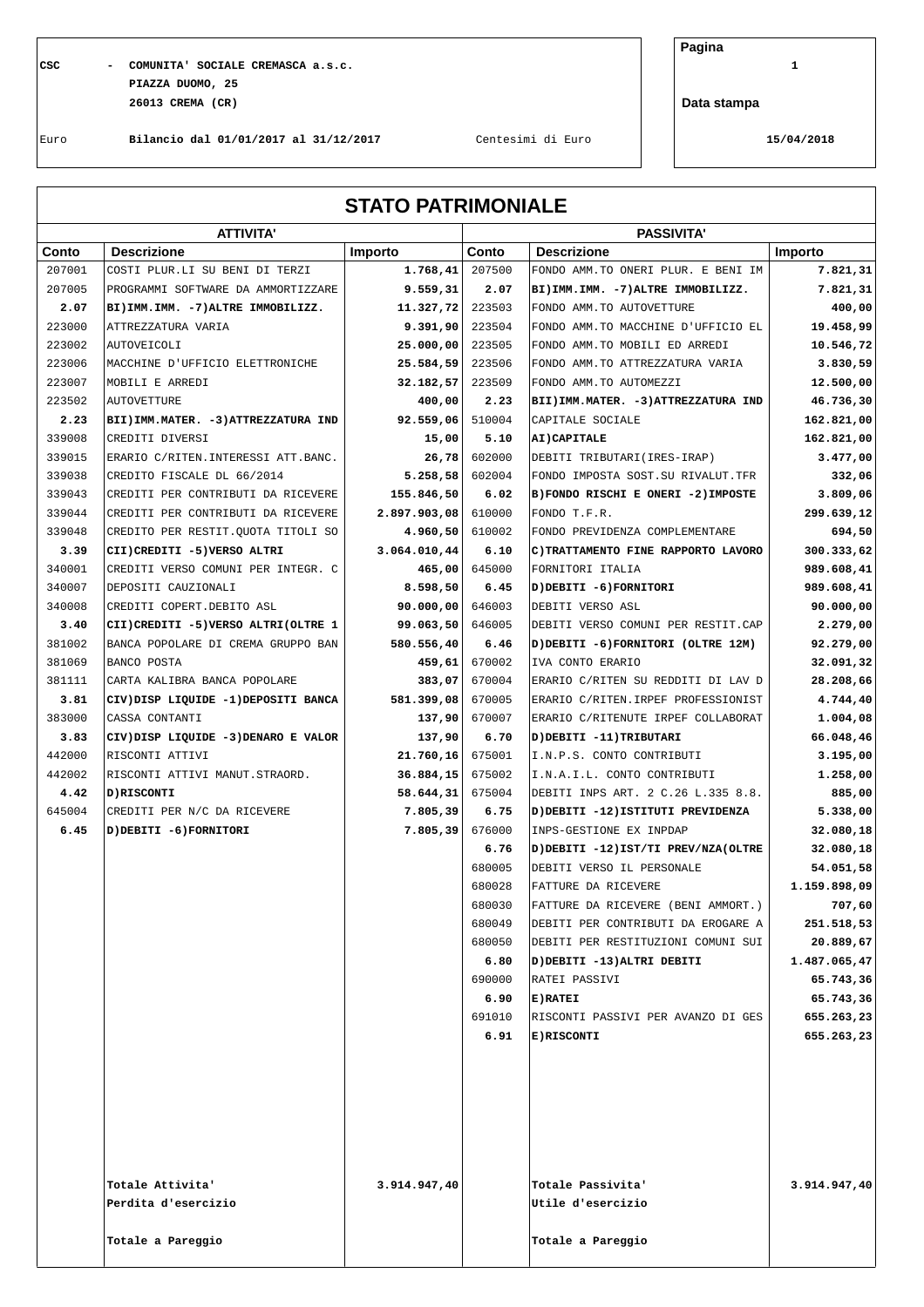## **CSC - COMUNITA' SOCIALE CREMASCA a.s.c. 1 PIAZZA DUOMO, 25 26013 CREMA (CR)**

**Pagina**

**Data stampa**

Euro **Bilancio dal 01/01/2017 al 31/12/2017** Centesimi di Euro **15/04/2018**

# **STATO PATRIMONIALE**

|        | <b>ATTIVITA'</b>                       |                |        | <b>PASSIVITA'</b>                      |              |  |  |
|--------|----------------------------------------|----------------|--------|----------------------------------------|--------------|--|--|
| Conto  | <b>Descrizione</b>                     | <b>Importo</b> | Conto  | <b>Descrizione</b>                     | Importo      |  |  |
| 207001 | COSTI PLUR.LI SU BENI DI TERZI         | 1.768, 41      | 207500 | FONDO AMM. TO ONERI PLUR. E BENI IM    | 7.821,31     |  |  |
| 207005 | PROGRAMMI SOFTWARE DA AMMORTIZZARE     | 9.559, 31      | 2.07   | BI) IMM. IMM. - 7) ALTRE IMMOBILIZZ.   | 7.821,31     |  |  |
| 2.07   | BI) IMM. IMM. - 7) ALTRE IMMOBILIZZ.   | 11.327,72      | 223503 | FONDO AMM. TO AUTOVETTURE              | 400,00       |  |  |
| 223000 | ATTREZZATURA VARIA                     | 9.391,90       | 223504 | FONDO AMM. TO MACCHINE D'UFFICIO EL    | 19.458,99    |  |  |
| 223002 | AUTOVEICOLI                            | 25.000,00      | 223505 | FONDO AMM. TO MOBILI ED ARREDI         | 10.546,72    |  |  |
| 223006 | MACCHINE D'UFFICIO ELETTRONICHE        | 25.584,59      | 223506 | FONDO AMM. TO ATTREZZATURA VARIA       | 3.830,59     |  |  |
| 223007 | MOBILI E ARREDI                        | 32.182,57      | 223509 | FONDO AMM. TO AUTOMEZZI                | 12.500,00    |  |  |
| 223502 | <b>AUTOVETTURE</b>                     | 400,00         | 2.23   | BII) IMM. MATER. - 3) ATTREZZATURA IND | 46.736,30    |  |  |
| 2.23   | BII) IMM. MATER. - 3) ATTREZZATURA IND | 92.559,06      | 510004 | CAPITALE SOCIALE                       | 162.821,00   |  |  |
| 339008 | CREDITI DIVERSI                        | 15,00          | 5.10   | AI) CAPITALE                           | 162.821,00   |  |  |
| 339015 | ERARIO C/RITEN. INTERESSI ATT. BANC.   | 26,78          | 602000 | DEBITI TRIBUTARI (IRES-IRAP)           | 3.477,00     |  |  |
| 339038 | CREDITO FISCALE DL 66/2014             | 5.258,58       | 602004 | FONDO IMPOSTA SOST. SU RIVALUT. TFR    | 332,06       |  |  |
| 339043 | CREDITI PER CONTRIBUTI DA RICEVERE     | 155.846,50     | 6.02   | B) FONDO RISCHI E ONERI -2) IMPOSTE    | 3.809,06     |  |  |
| 339044 | CREDITI PER CONTRIBUTI DA RICEVERE     | 2.897.903,08   | 610000 | FONDO T.F.R.                           | 299.639,12   |  |  |
| 339048 | CREDITO PER RESTIT.QUOTA TITOLI SO     | 4.960,50       | 610002 | FONDO PREVIDENZA COMPLEMENTARE         | 694,50       |  |  |
| 3.39   | CII) CREDITI -5) VERSO ALTRI           | 3.064.010,44   | 6.10   | C) TRATTAMENTO FINE RAPPORTO LAVORO    | 300.333,62   |  |  |
| 340001 | CREDITI VERSO COMUNI PER INTEGR. C     | 465,00         | 645000 | FORNITORI ITALIA                       | 989.608,41   |  |  |
| 340007 | DEPOSITI CAUZIONALI                    | 8.598,50       | 6.45   | D) DEBITI -6) FORNITORI                | 989.608,41   |  |  |
| 340008 | CREDITI COPERT. DEBITO ASL             | 90.000,00      | 646003 | DEBITI VERSO ASL                       | 90.000,00    |  |  |
| 3.40   | CII) CREDITI -5) VERSO ALTRI (OLTRE 1  | 99.063,50      | 646005 | DEBITI VERSO COMUNI PER RESTIT.CAP     | 2.279,00     |  |  |
| 381002 | BANCA POPOLARE DI CREMA GRUPPO BAN     | 580.556,40     | 6.46   | D) DEBITI -6) FORNITORI (OLTRE 12M)    | 92.279,00    |  |  |
| 381069 | BANCO POSTA                            | 459,61         | 670002 | IVA CONTO ERARIO                       | 32.091,32    |  |  |
| 381111 | CARTA KALIBRA BANCA POPOLARE           | 383,07         | 670004 | ERARIO C/RITEN SU REDDITI DI LAV D     | 28.208,66    |  |  |
| 3.81   | CIV) DISP LIQUIDE -1) DEPOSITI BANCA   | 581.399,08     | 670005 | ERARIO C/RITEN. IRPEF PROFESSIONIST    | 4.744,40     |  |  |
| 383000 | CASSA CONTANTI                         | 137,90         | 670007 | ERARIO C/RITENUTE IRPEF COLLABORAT     | 1.004,08     |  |  |
| 3.83   | CIV) DISP LIQUIDE -3) DENARO E VALOR   | 137,90         | 6.70   | D) DEBITI -11) TRIBUTARI               | 66.048,46    |  |  |
| 442000 | RISCONTI ATTIVI                        | 21.760,16      | 675001 | I.N.P.S. CONTO CONTRIBUTI              | 3.195,00     |  |  |
| 442002 | RISCONTI ATTIVI MANUT.STRAORD.         | 36.884,15      | 675002 | I.N.A.I.L. CONTO CONTRIBUTI            | 1.258,00     |  |  |
| 4.42   | D) RISCONTI                            | 58.644,31      | 675004 | DEBITI INPS ART. 2 C.26 L.335 8.8.     | 885,00       |  |  |
| 645004 | CREDITI PER N/C DA RICEVERE            | 7.805,39       | 6.75   | D) DEBITI -12) ISTITUTI PREVIDENZA     | 5.338,00     |  |  |
| 6.45   | D) DEBITI -6) FORNITORI                | 7.805,39       | 676000 | INPS-GESTIONE EX INPDAP                | 32.080,18    |  |  |
|        |                                        |                | 6.76   | D) DEBITI -12) IST/TI PREV/NZA(OLTRE   | 32.080,18    |  |  |
|        |                                        |                | 680005 | DEBITI VERSO IL PERSONALE              | 54.051,58    |  |  |
|        |                                        |                | 680028 | FATTURE DA RICEVERE                    | 1.159.898,09 |  |  |
|        |                                        |                | 680030 | FATTURE DA RICEVERE (BENI AMMORT.)     | 707,60       |  |  |
|        |                                        |                | 680049 | DEBITI PER CONTRIBUTI DA EROGARE A     | 251.518,53   |  |  |
|        |                                        |                | 680050 | DEBITI PER RESTITUZIONI COMUNI SUI     | 20.889,67    |  |  |
|        |                                        |                | 6.80   | D) DEBITI -13) ALTRI DEBITI            | 1.487.065,47 |  |  |
|        |                                        |                | 690000 | RATEI PASSIVI                          | 65.743,36    |  |  |
|        |                                        |                | 6.90   | <b>E)RATEI</b>                         | 65.743,36    |  |  |
|        |                                        |                | 691010 | RISCONTI PASSIVI PER AVANZO DI GES     | 655.263,23   |  |  |
|        |                                        |                | 6.91   | <b>E)RISCONTI</b>                      | 655.263,23   |  |  |
|        |                                        |                |        |                                        |              |  |  |
|        |                                        |                |        |                                        |              |  |  |
|        |                                        |                |        |                                        |              |  |  |
|        |                                        |                |        |                                        |              |  |  |
|        |                                        |                |        |                                        |              |  |  |
|        |                                        |                |        |                                        |              |  |  |
|        |                                        |                |        |                                        |              |  |  |
|        | Totale Attivita'                       | 3.914.947,40   |        | Totale Passivita'                      | 3.914.947,40 |  |  |
|        | Perdita d'esercizio                    |                |        | Utile d'esercizio                      |              |  |  |
|        |                                        |                |        |                                        |              |  |  |
|        | Totale a Pareggio                      |                |        | Totale a Pareggio                      |              |  |  |
|        |                                        |                |        |                                        |              |  |  |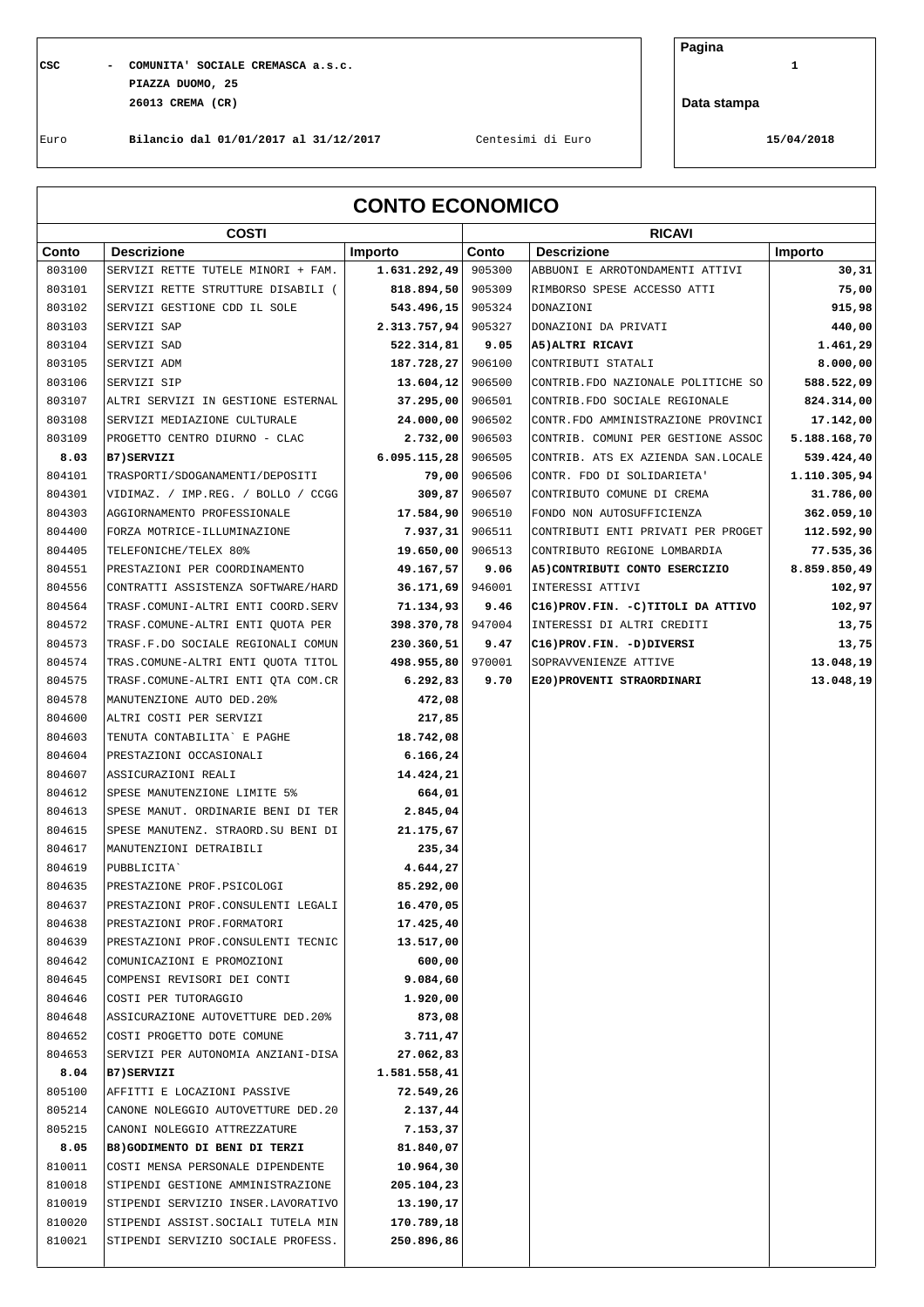## **CSC - COMUNITA' SOCIALE CREMASCA a.s.c. 1 PIAZZA DUOMO, 25 26013 CREMA (CR)**

**Pagina**

**Data stampa**

Euro **Bilancio dal 01/01/2017 al 31/12/2017** Centesimi di Euro **15/04/2018**

|        | <b>CONTO ECONOMICO</b>              |              |        |                                       |              |  |
|--------|-------------------------------------|--------------|--------|---------------------------------------|--------------|--|
|        | <b>COSTI</b>                        |              |        | <b>RICAVI</b>                         |              |  |
| Conto  | <b>Descrizione</b>                  | Importo      | Conto  | <b>Descrizione</b>                    | Importo      |  |
| 803100 | SERVIZI RETTE TUTELE MINORI + FAM.  | 1.631.292,49 | 905300 | ABBUONI E ARROTONDAMENTI ATTIVI       | 30,31        |  |
| 803101 | SERVIZI RETTE STRUTTURE DISABILI (  | 818.894,50   | 905309 | RIMBORSO SPESE ACCESSO ATTI           | 75,00        |  |
| 803102 | SERVIZI GESTIONE CDD IL SOLE        | 543.496, 15  | 905324 | DONAZIONI                             | 915,98       |  |
| 803103 | SERVIZI SAP                         | 2.313.757,94 | 905327 | DONAZIONI DA PRIVATI                  | 440,00       |  |
| 803104 | SERVIZI SAD                         | 522.314,81   | 9.05   | A5) ALTRI RICAVI                      | 1.461,29     |  |
| 803105 | SERVIZI ADM                         | 187.728,27   | 906100 | CONTRIBUTI STATALI                    | 8.000,00     |  |
| 803106 | SERVIZI SIP                         | 13.604,12    | 906500 | CONTRIB. FDO NAZIONALE POLITICHE SO   | 588.522,09   |  |
| 803107 | ALTRI SERVIZI IN GESTIONE ESTERNAL  | 37.295,00    | 906501 | CONTRIB. FDO SOCIALE REGIONALE        | 824.314,00   |  |
| 803108 | SERVIZI MEDIAZIONE CULTURALE        | 24.000,00    | 906502 | CONTR.FDO AMMINISTRAZIONE PROVINCI    | 17.142,00    |  |
| 803109 | PROGETTO CENTRO DIURNO - CLAC       | 2.732,00     | 906503 | CONTRIB. COMUNI PER GESTIONE ASSOC    | 5.188.168,70 |  |
| 8.03   | B7) SERVIZI                         | 6.095.115,28 | 906505 | CONTRIB. ATS EX AZIENDA SAN.LOCALE    | 539.424,40   |  |
| 804101 | TRASPORTI/SDOGANAMENTI/DEPOSITI     | 79,00        | 906506 | CONTR. FDO DI SOLIDARIETA'            | 1.110.305,94 |  |
| 804301 | VIDIMAZ. / IMP.REG. / BOLLO / CCGG  | 309,87       | 906507 | CONTRIBUTO COMUNE DI CREMA            | 31.786,00    |  |
| 804303 | AGGIORNAMENTO PROFESSIONALE         | 17.584,90    | 906510 | FONDO NON AUTOSUFFICIENZA             | 362.059,10   |  |
| 804400 | FORZA MOTRICE-ILLUMINAZIONE         | 7.937,31     | 906511 | CONTRIBUTI ENTI PRIVATI PER PROGET    | 112.592,90   |  |
| 804405 | TELEFONICHE/TELEX 80%               | 19.650,00    | 906513 | CONTRIBUTO REGIONE LOMBARDIA          | 77.535,36    |  |
| 804551 | PRESTAZIONI PER COORDINAMENTO       | 49.167,57    | 9.06   | A5) CONTRIBUTI CONTO ESERCIZIO        | 8.859.850,49 |  |
| 804556 | CONTRATTI ASSISTENZA SOFTWARE/HARD  | 36.171,69    | 946001 | INTERESSI ATTIVI                      | 102,97       |  |
| 804564 | TRASF.COMUNI-ALTRI ENTI COORD.SERV  | 71.134,93    | 9.46   | C16) PROV. FIN. - C) TITOLI DA ATTIVO | 102,97       |  |
| 804572 | TRASF.COMUNE-ALTRI ENTI QUOTA PER   | 398.370,78   | 947004 | INTERESSI DI ALTRI CREDITI            | 13,75        |  |
| 804573 | TRASF.F.DO SOCIALE REGIONALI COMUN  | 230.360,51   | 9.47   | C16) PROV.FIN. - D) DIVERSI           | 13,75        |  |
| 804574 | TRAS. COMUNE-ALTRI ENTI QUOTA TITOL | 498.955,80   | 970001 | SOPRAVVENIENZE ATTIVE                 | 13.048,19    |  |
| 804575 | TRASF.COMUNE-ALTRI ENTI QTA COM.CR  | 6.292,83     | 9.70   | E20) PROVENTI STRAORDINARI            | 13.048,19    |  |
| 804578 | MANUTENZIONE AUTO DED. 20%          | 472,08       |        |                                       |              |  |
| 804600 | ALTRI COSTI PER SERVIZI             | 217,85       |        |                                       |              |  |
| 804603 | TENUTA CONTABILITA` E PAGHE         | 18.742,08    |        |                                       |              |  |
| 804604 | PRESTAZIONI OCCASIONALI             | 6.166,24     |        |                                       |              |  |
| 804607 | ASSICURAZIONI REALI                 | 14.424,21    |        |                                       |              |  |
| 804612 | SPESE MANUTENZIONE LIMITE 5%        | 664,01       |        |                                       |              |  |
| 804613 | SPESE MANUT. ORDINARIE BENI DI TER  | 2.845,04     |        |                                       |              |  |
| 804615 | SPESE MANUTENZ. STRAORD. SU BENI DI | 21.175,67    |        |                                       |              |  |
| 804617 | MANUTENZIONI DETRAIBILI             | 235,34       |        |                                       |              |  |
| 804619 | PUBBLICITA`                         | 4.644,27     |        |                                       |              |  |
| 804635 | PRESTAZIONE PROF.PSICOLOGI          | 85.292,00    |        |                                       |              |  |
| 804637 | PRESTAZIONI PROF. CONSULENTI LEGALI | 16.470,05    |        |                                       |              |  |
| 804638 | PRESTAZIONI PROF. FORMATORI         | 17.425,40    |        |                                       |              |  |
| 804639 | PRESTAZIONI PROF. CONSULENTI TECNIC | 13.517,00    |        |                                       |              |  |
| 804642 | COMUNICAZIONI E PROMOZIONI          | 600,00       |        |                                       |              |  |
| 804645 | COMPENSI REVISORI DEI CONTI         | 9.084,60     |        |                                       |              |  |
| 804646 | COSTI PER TUTORAGGIO                | 1.920,00     |        |                                       |              |  |
| 804648 | ASSICURAZIONE AUTOVETTURE DED. 20%  | 873,08       |        |                                       |              |  |
| 804652 | COSTI PROGETTO DOTE COMUNE          | 3.711,47     |        |                                       |              |  |
| 804653 | SERVIZI PER AUTONOMIA ANZIANI-DISA  | 27.062,83    |        |                                       |              |  |
| 8.04   | B7) SERVIZI                         | 1.581.558,41 |        |                                       |              |  |
| 805100 | AFFITTI E LOCAZIONI PASSIVE         | 72.549,26    |        |                                       |              |  |
| 805214 | CANONE NOLEGGIO AUTOVETTURE DED. 20 | 2.137,44     |        |                                       |              |  |
| 805215 | CANONI NOLEGGIO ATTREZZATURE        | 7.153,37     |        |                                       |              |  |
| 8.05   | B8) GODIMENTO DI BENI DI TERZI      | 81.840,07    |        |                                       |              |  |
| 810011 | COSTI MENSA PERSONALE DIPENDENTE    | 10.964,30    |        |                                       |              |  |
| 810018 | STIPENDI GESTIONE AMMINISTRAZIONE   | 205.104,23   |        |                                       |              |  |
| 810019 | STIPENDI SERVIZIO INSER.LAVORATIVO  | 13.190,17    |        |                                       |              |  |
| 810020 | STIPENDI ASSIST. SOCIALI TUTELA MIN | 170.789,18   |        |                                       |              |  |
| 810021 | STIPENDI SERVIZIO SOCIALE PROFESS.  | 250.896,86   |        |                                       |              |  |
|        |                                     |              |        |                                       |              |  |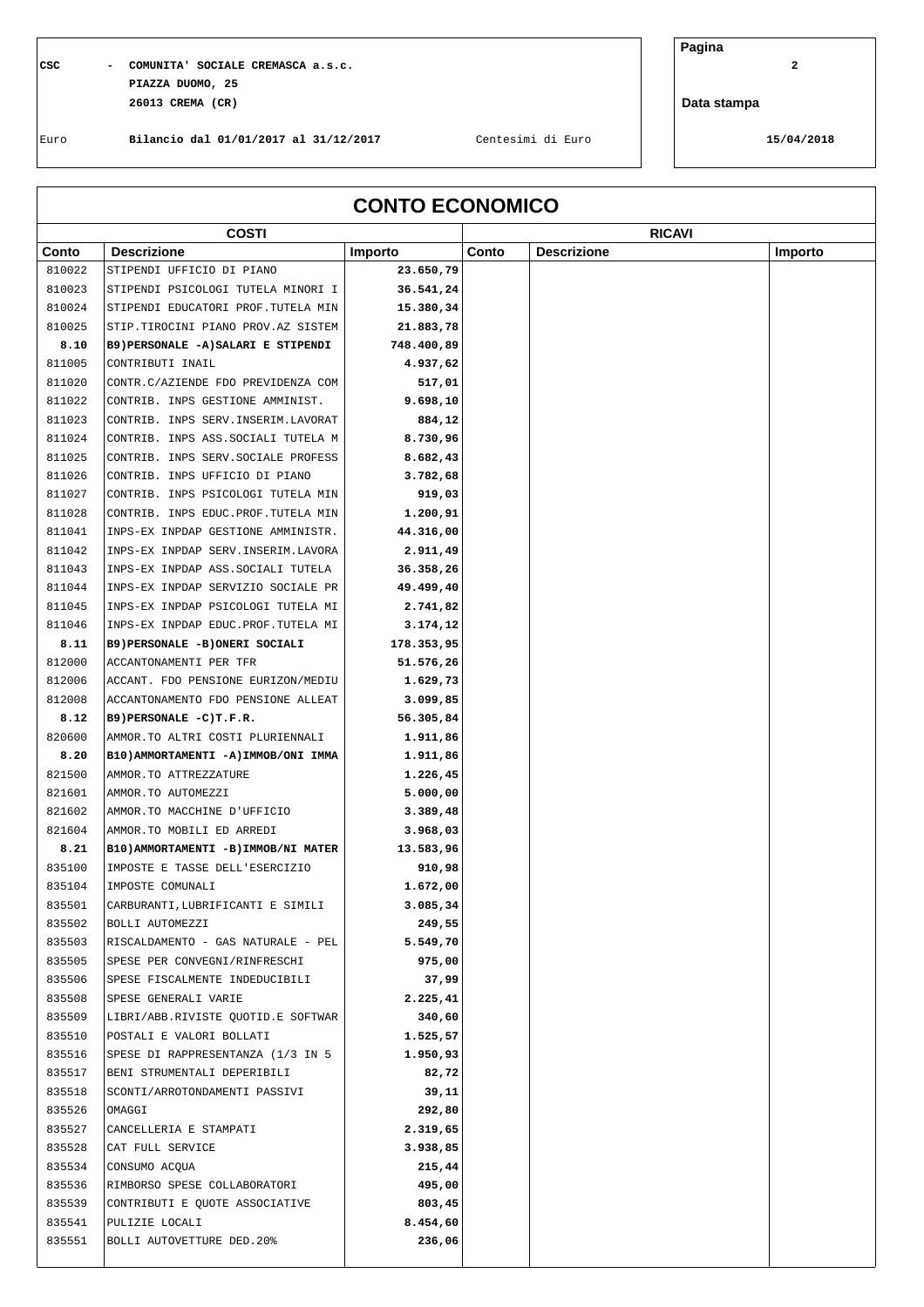## **CSC - COMUNITA' SOCIALE CREMASCA a.s.c. 2 PIAZZA DUOMO, 25 26013 CREMA (CR)**

**Pagina**

**Data stampa**

Euro **Bilancio dal 01/01/2017 al 31/12/2017** Centesimi di Euro **15/04/2018**

Ī

|                  | <b>CONTO ECONOMICO</b>                                    |                       |       |                    |         |  |
|------------------|-----------------------------------------------------------|-----------------------|-------|--------------------|---------|--|
|                  | <b>COSTI</b>                                              |                       |       | <b>RICAVI</b>      |         |  |
| Conto            | <b>Descrizione</b>                                        | Importo               | Conto | <b>Descrizione</b> | Importo |  |
| 810022           | STIPENDI UFFICIO DI PIANO                                 | 23.650,79             |       |                    |         |  |
| 810023           | STIPENDI PSICOLOGI TUTELA MINORI I                        | 36.541,24             |       |                    |         |  |
| 810024           | STIPENDI EDUCATORI PROF. TUTELA MIN                       | 15.380,34             |       |                    |         |  |
| 810025           | STIP.TIROCINI PIANO PROV.AZ SISTEM                        | 21.883,78             |       |                    |         |  |
| 8.10             | B9) PERSONALE - A) SALARI E STIPENDI                      | 748.400,89            |       |                    |         |  |
| 811005           | CONTRIBUTI INAIL                                          | 4.937,62              |       |                    |         |  |
| 811020           | CONTR.C/AZIENDE FDO PREVIDENZA COM                        | 517,01                |       |                    |         |  |
| 811022           | CONTRIB. INPS GESTIONE AMMINIST.                          | 9.698,10              |       |                    |         |  |
| 811023           | CONTRIB. INPS SERV. INSERIM. LAVORAT                      | 884,12                |       |                    |         |  |
| 811024           | CONTRIB. INPS ASS. SOCIALI TUTELA M                       | 8.730,96              |       |                    |         |  |
| 811025           | CONTRIB. INPS SERV. SOCIALE PROFESS                       | 8.682,43              |       |                    |         |  |
| 811026           | CONTRIB. INPS UFFICIO DI PIANO                            | 3.782,68              |       |                    |         |  |
| 811027           | CONTRIB. INPS PSICOLOGI TUTELA MIN                        | 919,03                |       |                    |         |  |
| 811028           | CONTRIB. INPS EDUC. PROF. TUTELA MIN                      | 1.200,91              |       |                    |         |  |
| 811041           | INPS-EX INPDAP GESTIONE AMMINISTR.                        | 44.316,00             |       |                    |         |  |
| 811042           | INPS-EX INPDAP SERV. INSERIM. LAVORA                      | 2.911,49              |       |                    |         |  |
| 811043           | INPS-EX INPDAP ASS. SOCIALI TUTELA                        | 36.358,26             |       |                    |         |  |
| 811044           | INPS-EX INPDAP SERVIZIO SOCIALE PR                        | 49.499,40             |       |                    |         |  |
| 811045<br>811046 | INPS-EX INPDAP PSICOLOGI TUTELA MI                        | 2.741,82              |       |                    |         |  |
|                  | INPS-EX INPDAP EDUC.PROF.TUTELA MI                        | 3.174,12              |       |                    |         |  |
| 8.11<br>812000   | B9) PERSONALE -B) ONERI SOCIALI<br>ACCANTONAMENTI PER TFR | 178.353,95            |       |                    |         |  |
| 812006           | ACCANT. FDO PENSIONE EURIZON/MEDIU                        | 51.576,26<br>1.629,73 |       |                    |         |  |
| 812008           | ACCANTONAMENTO FDO PENSIONE ALLEAT                        | 3.099,85              |       |                    |         |  |
| 8.12             | B9) PERSONALE -C) T.F.R.                                  | 56.305,84             |       |                    |         |  |
| 820600           | AMMOR.TO ALTRI COSTI PLURIENNALI                          | 1.911,86              |       |                    |         |  |
| 8.20             | B10) AMMORTAMENTI -A) IMMOB/ONI IMMA                      | 1.911,86              |       |                    |         |  |
| 821500           | AMMOR.TO ATTREZZATURE                                     | 1.226,45              |       |                    |         |  |
| 821601           | AMMOR.TO AUTOMEZZI                                        | 5.000,00              |       |                    |         |  |
| 821602           | AMMOR.TO MACCHINE D'UFFICIO                               | 3.389,48              |       |                    |         |  |
| 821604           | AMMOR.TO MOBILI ED ARREDI                                 | 3.968,03              |       |                    |         |  |
| 8.21             | B10) AMMORTAMENTI -B) IMMOB/NI MATER                      | 13.583,96             |       |                    |         |  |
| 835100           | IMPOSTE E TASSE DELL'ESERCIZIO                            | 910,98                |       |                    |         |  |
| 835104           | IMPOSTE COMUNALI                                          | 1.672,00              |       |                    |         |  |
| 835501           | CARBURANTI, LUBRIFICANTI E SIMILI                         | 3.085,34              |       |                    |         |  |
| 835502           | BOLLI AUTOMEZZI                                           | 249,55                |       |                    |         |  |
| 835503           | RISCALDAMENTO - GAS NATURALE - PEL                        | 5.549,70              |       |                    |         |  |
| 835505           | SPESE PER CONVEGNI/RINFRESCHI                             | 975,00                |       |                    |         |  |
| 835506           | SPESE FISCALMENTE INDEDUCIBILI                            | 37,99                 |       |                    |         |  |
| 835508           | SPESE GENERALI VARIE                                      | 2.225,41              |       |                    |         |  |
| 835509           | LIBRI/ABB.RIVISTE QUOTID.E SOFTWAR                        | 340,60                |       |                    |         |  |
| 835510           | POSTALI E VALORI BOLLATI                                  | 1.525,57              |       |                    |         |  |
| 835516           | SPESE DI RAPPRESENTANZA (1/3 IN 5                         | 1.950,93              |       |                    |         |  |
| 835517           | BENI STRUMENTALI DEPERIBILI                               | 82,72                 |       |                    |         |  |
| 835518           | SCONTI/ARROTONDAMENTI PASSIVI                             | 39,11                 |       |                    |         |  |
| 835526           | OMAGGI                                                    | 292,80                |       |                    |         |  |
| 835527           | CANCELLERIA E STAMPATI                                    | 2.319,65              |       |                    |         |  |
| 835528           | CAT FULL SERVICE                                          | 3.938,85              |       |                    |         |  |
| 835534           | CONSUMO ACQUA                                             | 215,44                |       |                    |         |  |
| 835536           | RIMBORSO SPESE COLLABORATORI                              | 495,00                |       |                    |         |  |
| 835539           | CONTRIBUTI E QUOTE ASSOCIATIVE                            | 803,45                |       |                    |         |  |
| 835541<br>835551 | PULIZIE LOCALI<br>BOLLI AUTOVETTURE DED. 20%              | 8.454,60<br>236,06    |       |                    |         |  |
|                  |                                                           |                       |       |                    |         |  |